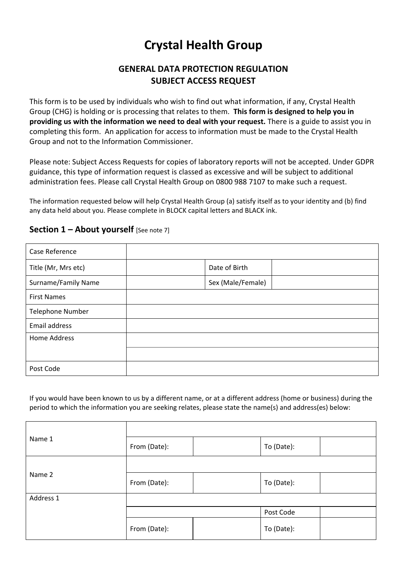# **Crystal Health Group**

# **GENERAL DATA PROTECTION REGULATION SUBJECT ACCESS REQUEST**

This form is to be used by individuals who wish to find out what information, if any, Crystal Health Group (CHG) is holding or is processing that relates to them. **This form is designed to help you in providing us with the information we need to deal with your request.** There is a guide to assist you in completing this form. An application for access to information must be made to the Crystal Health Group and not to the Information Commissioner.

Please note: Subject Access Requests for copies of laboratory reports will not be accepted. Under GDPR guidance, this type of information request is classed as excessive and will be subject to additional administration fees. Please call Crystal Health Group on 0800 988 7107 to make such a request.

The information requested below will help Crystal Health Group (a) satisfy itself as to your identity and (b) find any data held about you. Please complete in BLOCK capital letters and BLACK ink.

| Case Reference          |                   |  |
|-------------------------|-------------------|--|
| Title (Mr, Mrs etc)     | Date of Birth     |  |
| Surname/Family Name     | Sex (Male/Female) |  |
| <b>First Names</b>      |                   |  |
| <b>Telephone Number</b> |                   |  |
| Email address           |                   |  |
| <b>Home Address</b>     |                   |  |
|                         |                   |  |
| Post Code               |                   |  |

# **Section 1 – About yourself** [See note 7]

 $\top$ 

If you would have been known to us by a different name, or at a different address (home or business) during the period to which the information you are seeking relates, please state the name(s) and address(es) below:

| Name 1    | From (Date): |  | To (Date): |  |
|-----------|--------------|--|------------|--|
|           |              |  |            |  |
| Name 2    | From (Date): |  | To (Date): |  |
| Address 1 |              |  |            |  |
|           |              |  | Post Code  |  |
|           | From (Date): |  | To (Date): |  |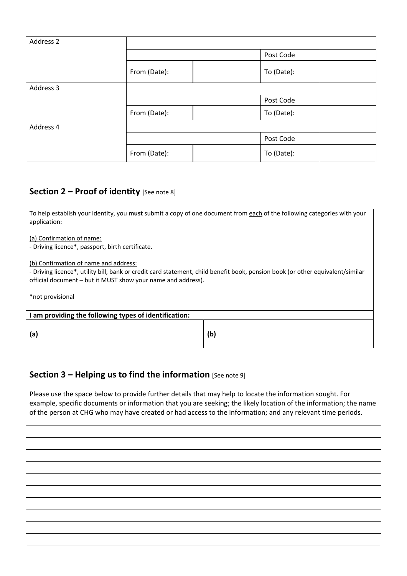| Address 2 |              |  |            |  |
|-----------|--------------|--|------------|--|
|           |              |  | Post Code  |  |
|           | From (Date): |  | To (Date): |  |
| Address 3 |              |  |            |  |
|           |              |  | Post Code  |  |
|           | From (Date): |  | To (Date): |  |
| Address 4 |              |  |            |  |
|           |              |  | Post Code  |  |
|           | From (Date): |  | To (Date): |  |

# **Section 2 – Proof of identity** [See note 8]

To help establish your identity, you **must** submit a copy of one document from each of the following categories with your application:

(a) Confirmation of name:

‐ Driving licence\*, passport, birth certificate.

(b) Confirmation of name and address:

‐ Driving licence\*, utility bill, bank or credit card statement, child benefit book, pension book (or other equivalent/similar official document – but it MUST show your name and address).

\*not provisional

| I am providing the following types of identification: |  |     |  |  |
|-------------------------------------------------------|--|-----|--|--|
|                                                       |  |     |  |  |
| (a)                                                   |  | (b) |  |  |

# **Section 3 – Helping us to find the information** [See note 9]

Please use the space below to provide further details that may help to locate the information sought. For example, specific documents or information that you are seeking; the likely location of the information; the name of the person at CHG who may have created or had access to the information; and any relevant time periods.

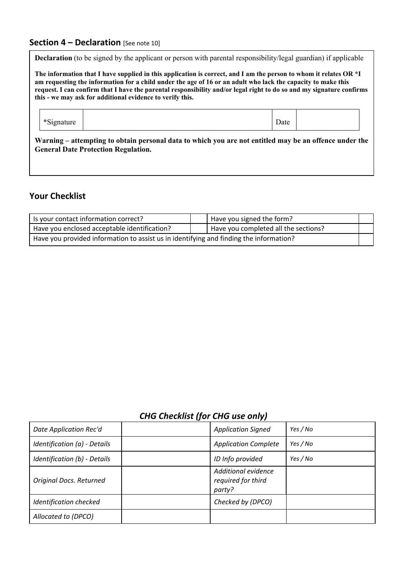# **Section 4 – Declaration** [See note 10]

**Declaration** (to be signed by the applicant or person with parental responsibility/legal guardian) if applicable

**The information that I have supplied in this application is correct, and I am the person to whom it relates OR \*I am requesting the information for a child under the age of 16 or an adult who lack the capacity to make this request. I can confirm that I have the parental responsibility and/or legal right to do so and my signature confirms this - we may ask for additional evidence to verify this.** 

\*Signature Date 2012

**Warning – attempting to obtain personal data to which you are not entitled may be an offence under the General Date Protection Regulation.** 

# **Your Checklist**

| Is your contact information correct?                                                   |  | Have you signed the form?            |  |
|----------------------------------------------------------------------------------------|--|--------------------------------------|--|
| Have you enclosed acceptable identification?                                           |  | Have you completed all the sections? |  |
| Have you provided information to assist us in identifying and finding the information? |  |                                      |  |

# *CHG Checklist (for CHG use only)*

| Date Application Rec'd       | <b>Application Signed</b>                           | Yes / No |
|------------------------------|-----------------------------------------------------|----------|
| Identification (a) - Details | <b>Application Complete</b>                         | Yes / No |
| Identification (b) - Details | ID Info provided                                    | Yes / No |
| Original Docs. Returned      | Additional evidence<br>required for third<br>party? |          |
| Identification checked       | Checked by (DPCO)                                   |          |
| Allocated to (DPCO)          |                                                     |          |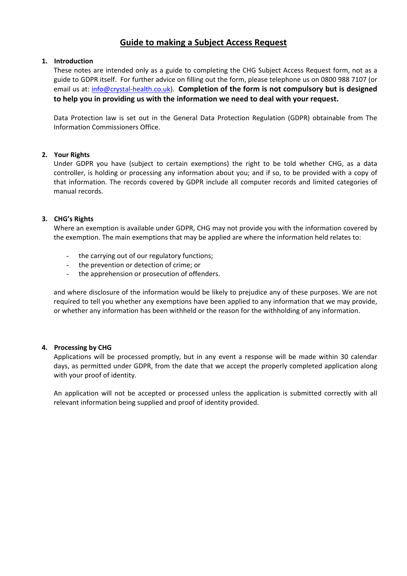# **Guide to making a Subject Access Request**

## **1. Introduction**

These notes are intended only as a guide to completing the CHG Subject Access Request form, not as a guide to GDPR itself. For further advice on filling out the form, please telephone us on 0800 988 7107 (or email us at: info@crystal‐health.co.uk). **Completion of the form is not compulsory but is designed to help you in providing us with the information we need to deal with your request.** 

Data Protection law is set out in the General Data Protection Regulation (GDPR) obtainable from The Information Commissioners Office.

## **2. Your Rights**

Under GDPR you have (subject to certain exemptions) the right to be told whether CHG, as a data controller, is holding or processing any information about you; and if so, to be provided with a copy of that information. The records covered by GDPR include all computer records and limited categories of manual records.

## **3. CHG's Rights**

Where an exemption is available under GDPR, CHG may not provide you with the information covered by the exemption. The main exemptions that may be applied are where the information held relates to:

- the carrying out of our regulatory functions;
- the prevention or detection of crime; or
- the apprehension or prosecution of offenders.

and where disclosure of the information would be likely to prejudice any of these purposes. We are not required to tell you whether any exemptions have been applied to any information that we may provide, or whether any information has been withheld or the reason for the withholding of any information.

## **4. Processing by CHG**

Applications will be processed promptly, but in any event a response will be made within 30 calendar days, as permitted under GDPR, from the date that we accept the properly completed application along with your proof of identity.

An application will not be accepted or processed unless the application is submitted correctly with all relevant information being supplied and proof of identity provided.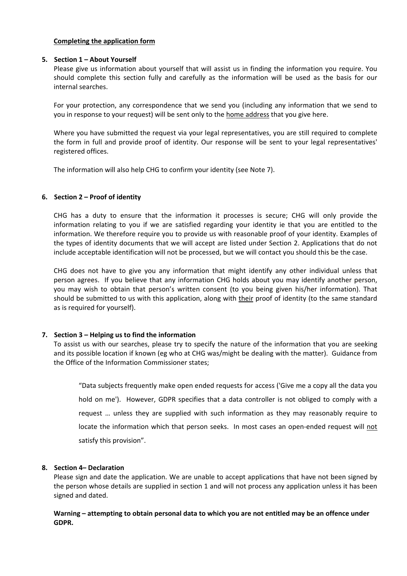## **Completing the application form**

## **5. Section 1 – About Yourself**

Please give us information about yourself that will assist us in finding the information you require. You should complete this section fully and carefully as the information will be used as the basis for our internal searches.

For your protection, any correspondence that we send you (including any information that we send to you in response to your request) will be sent only to the home address that you give here.

Where you have submitted the request via your legal representatives, you are still required to complete the form in full and provide proof of identity. Our response will be sent to your legal representatives' registered offices.

The information will also help CHG to confirm your identity (see Note 7).

## **6. Section 2 – Proof of identity**

CHG has a duty to ensure that the information it processes is secure; CHG will only provide the information relating to you if we are satisfied regarding your identity ie that you are entitled to the information. We therefore require you to provide us with reasonable proof of your identity. Examples of the types of identity documents that we will accept are listed under Section 2. Applications that do not include acceptable identification will not be processed, but we will contact you should this be the case.

CHG does not have to give you any information that might identify any other individual unless that person agrees. If you believe that any information CHG holds about you may identify another person, you may wish to obtain that person's written consent (to you being given his/her information). That should be submitted to us with this application, along with their proof of identity (to the same standard as is required for yourself).

## **7. Section 3 – Helping us to find the information**

To assist us with our searches, please try to specify the nature of the information that you are seeking and its possible location if known (eg who at CHG was/might be dealing with the matter). Guidance from the Office of the Information Commissioner states;

"Data subjects frequently make open ended requests for access ('Give me a copy all the data you hold on me'). However, GDPR specifies that a data controller is not obliged to comply with a request ... unless they are supplied with such information as they may reasonably require to locate the information which that person seeks. In most cases an open-ended request will not satisfy this provision".

## **8. Section 4– Declaration**

Please sign and date the application. We are unable to accept applications that have not been signed by the person whose details are supplied in section 1 and will not process any application unless it has been signed and dated.

## **Warning – attempting to obtain personal data to which you are not entitled may be an offence under GDPR.**